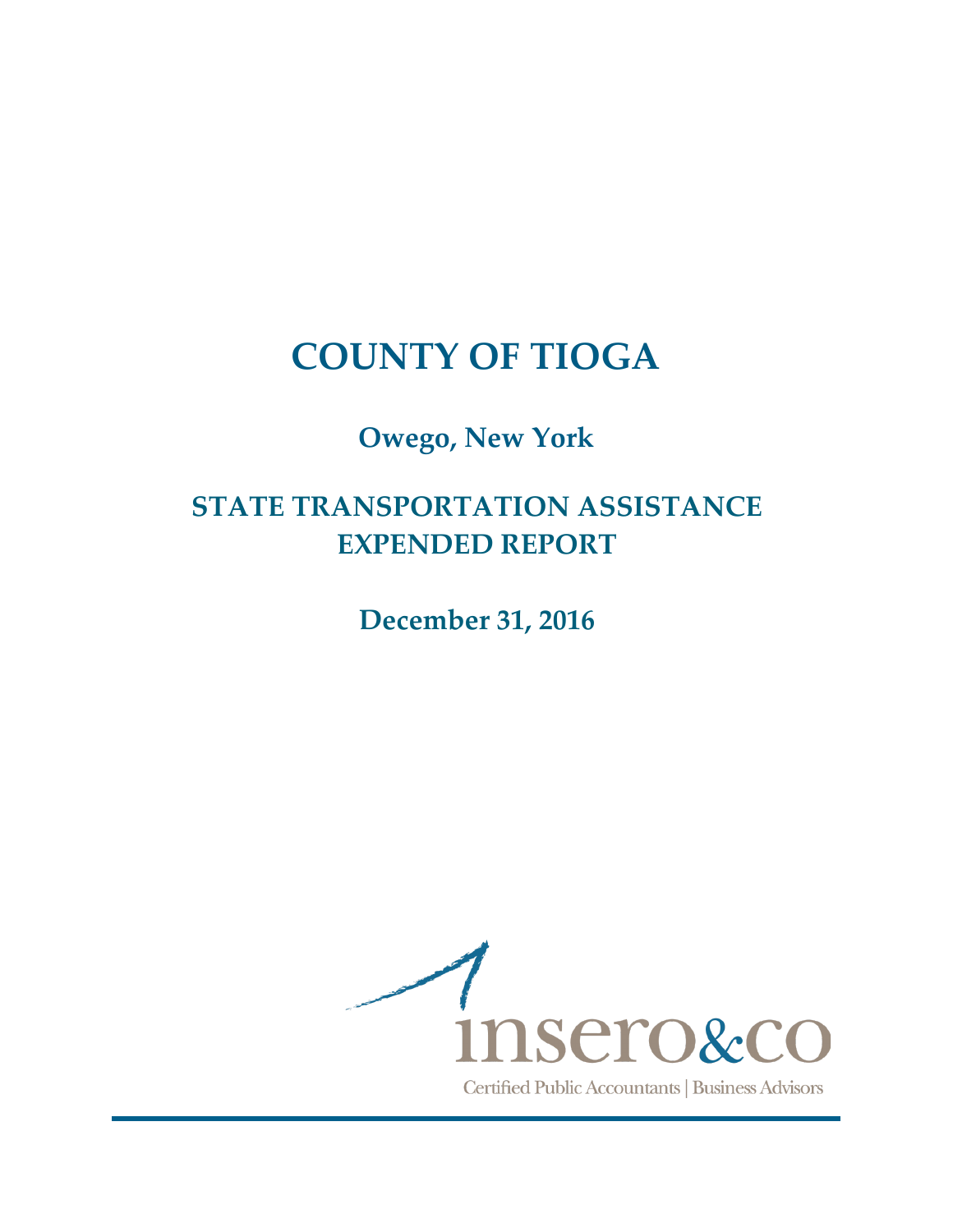### **Owego, New York**

## **STATE TRANSPORTATION ASSISTANCE EXPENDED REPORT**

**December 31, 2016**

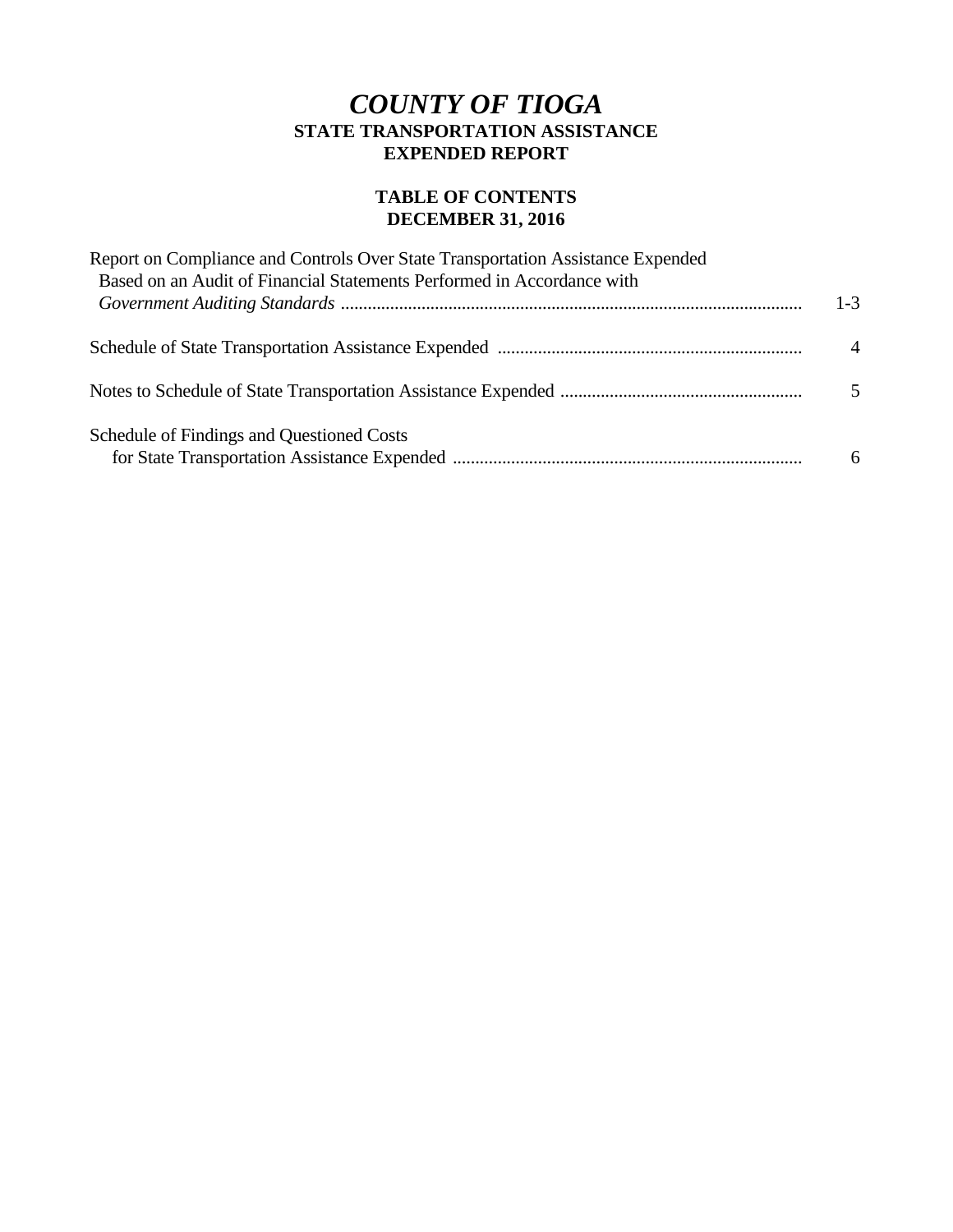### *COUNTY OF TIOGA* **STATE TRANSPORTATION ASSISTANCE EXPENDED REPORT**

### **TABLE OF CONTENTS DECEMBER 31, 2016**

| Report on Compliance and Controls Over State Transportation Assistance Expended<br>Based on an Audit of Financial Statements Performed in Accordance with |                |
|-----------------------------------------------------------------------------------------------------------------------------------------------------------|----------------|
|                                                                                                                                                           | $1 - 3$        |
|                                                                                                                                                           | $\overline{4}$ |
|                                                                                                                                                           |                |
| Schedule of Findings and Questioned Costs                                                                                                                 | 6              |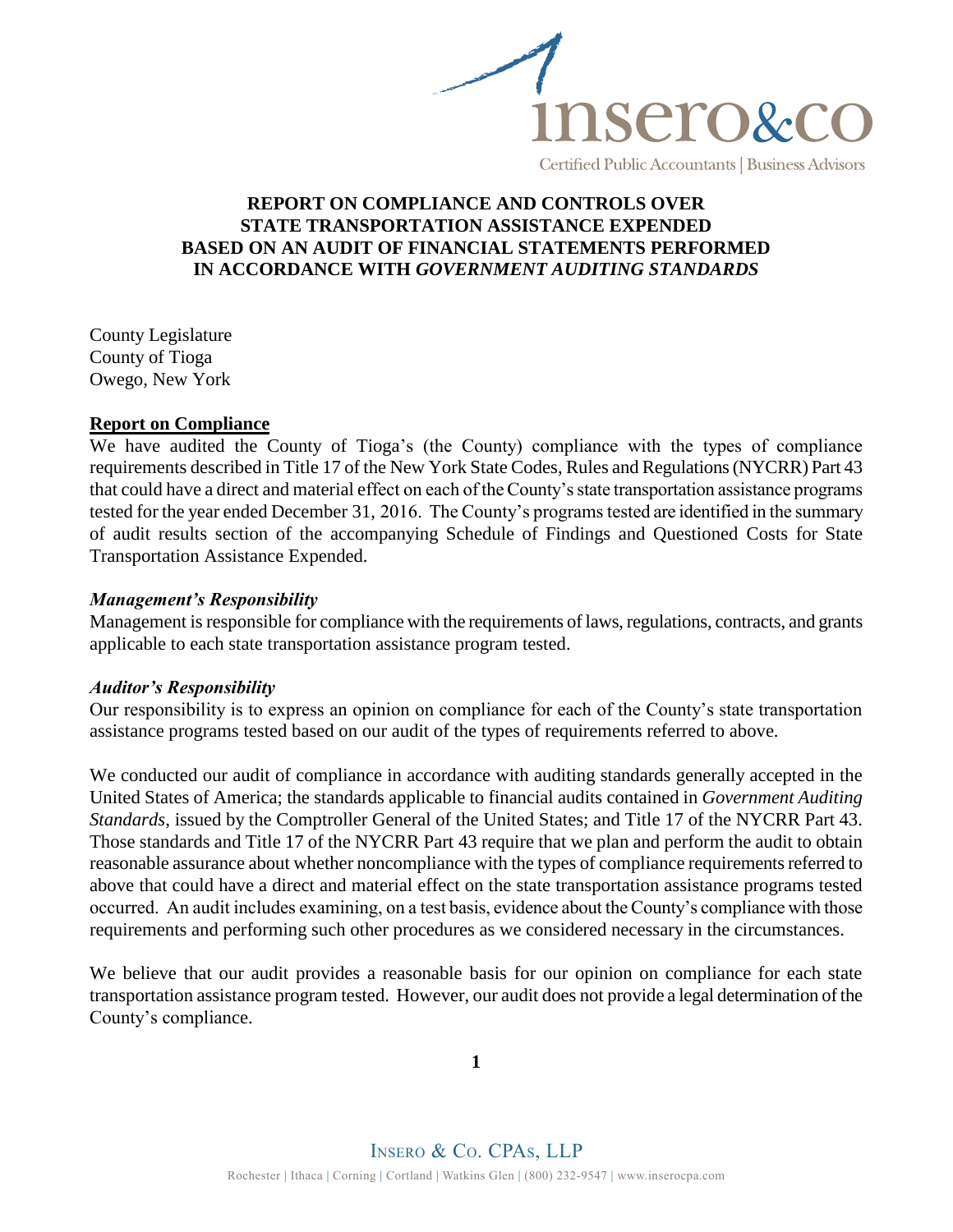

Certified Public Accountants | Business Advisors

### **REPORT ON COMPLIANCE AND CONTROLS OVER STATE TRANSPORTATION ASSISTANCE EXPENDED BASED ON AN AUDIT OF FINANCIAL STATEMENTS PERFORMED IN ACCORDANCE WITH** *GOVERNMENT AUDITING STANDARDS*

County Legislature County of Tioga Owego, New York

#### **Report on Compliance**

We have audited the County of Tioga's (the County) compliance with the types of compliance requirements described in Title 17 of the New York State Codes, Rules and Regulations (NYCRR) Part 43 that could have a direct and material effect on each of the County's state transportation assistance programs tested for the year ended December 31, 2016. The County's programs tested are identified in the summary of audit results section of the accompanying Schedule of Findings and Questioned Costs for State Transportation Assistance Expended.

#### *Management's Responsibility*

Management is responsible for compliance with the requirements of laws, regulations, contracts, and grants applicable to each state transportation assistance program tested.

### *Auditor's Responsibility*

Our responsibility is to express an opinion on compliance for each of the County's state transportation assistance programs tested based on our audit of the types of requirements referred to above.

We conducted our audit of compliance in accordance with auditing standards generally accepted in the United States of America; the standards applicable to financial audits contained in *Government Auditing Standards*, issued by the Comptroller General of the United States; and Title 17 of the NYCRR Part 43. Those standards and Title 17 of the NYCRR Part 43 require that we plan and perform the audit to obtain reasonable assurance about whether noncompliance with the types of compliance requirements referred to above that could have a direct and material effect on the state transportation assistance programs tested occurred. An audit includes examining, on a test basis, evidence about the County's compliance with those requirements and performing such other procedures as we considered necessary in the circumstances.

We believe that our audit provides a reasonable basis for our opinion on compliance for each state transportation assistance program tested. However, our audit does not provide a legal determination of the County's compliance.

**1**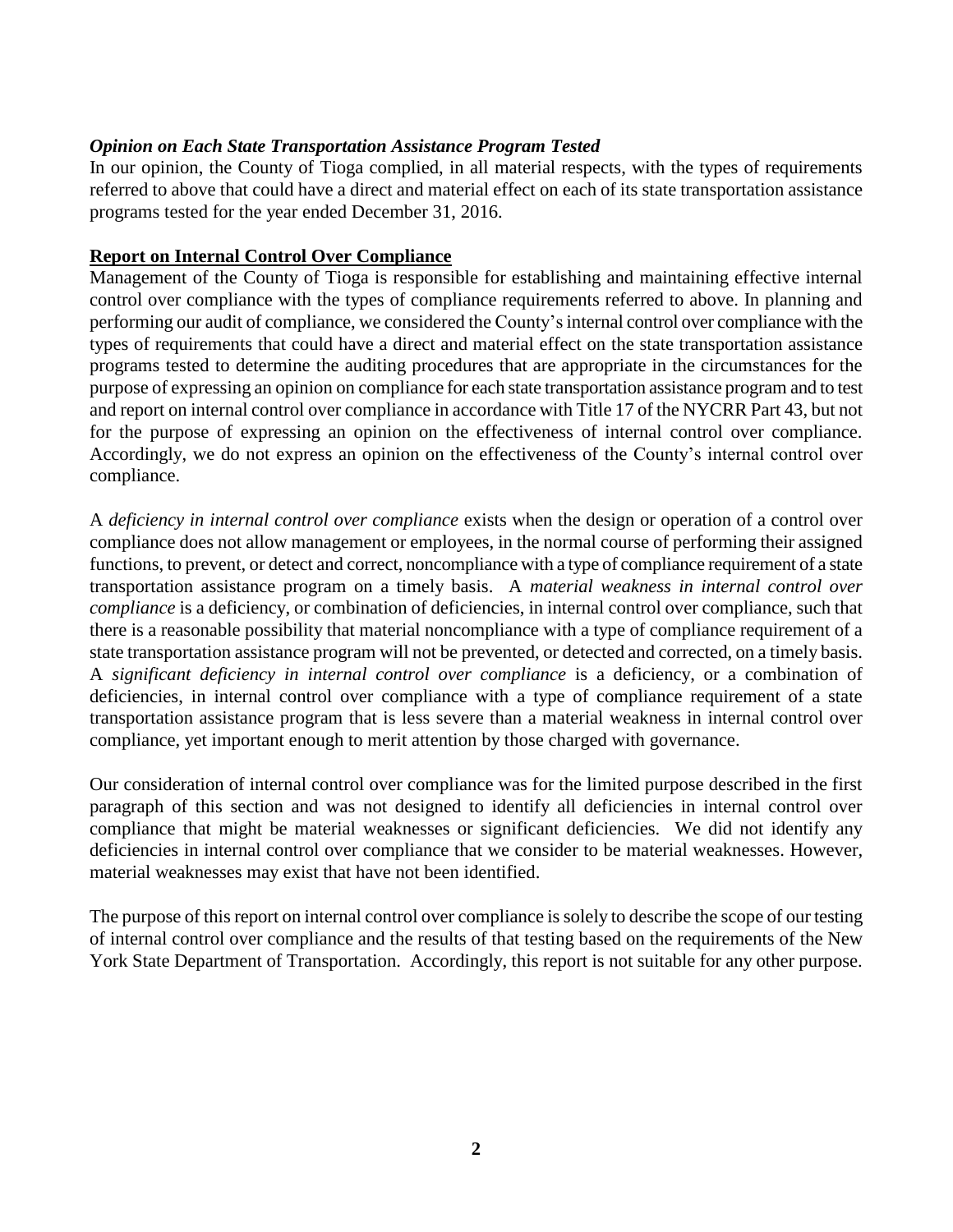### *Opinion on Each State Transportation Assistance Program Tested*

In our opinion, the County of Tioga complied, in all material respects, with the types of requirements referred to above that could have a direct and material effect on each of its state transportation assistance programs tested for the year ended December 31, 2016.

### **Report on Internal Control Over Compliance**

Management of the County of Tioga is responsible for establishing and maintaining effective internal control over compliance with the types of compliance requirements referred to above. In planning and performing our audit of compliance, we considered the County's internal control over compliance with the types of requirements that could have a direct and material effect on the state transportation assistance programs tested to determine the auditing procedures that are appropriate in the circumstances for the purpose of expressing an opinion on compliance for each state transportation assistance program and to test and report on internal control over compliance in accordance with Title 17 of the NYCRR Part 43, but not for the purpose of expressing an opinion on the effectiveness of internal control over compliance. Accordingly, we do not express an opinion on the effectiveness of the County's internal control over compliance.

A *deficiency in internal control over compliance* exists when the design or operation of a control over compliance does not allow management or employees, in the normal course of performing their assigned functions, to prevent, or detect and correct, noncompliance with a type of compliance requirement of a state transportation assistance program on a timely basis. A *material weakness in internal control over compliance* is a deficiency, or combination of deficiencies, in internal control over compliance, such that there is a reasonable possibility that material noncompliance with a type of compliance requirement of a state transportation assistance program will not be prevented, or detected and corrected, on a timely basis. A *significant deficiency in internal control over compliance* is a deficiency, or a combination of deficiencies, in internal control over compliance with a type of compliance requirement of a state transportation assistance program that is less severe than a material weakness in internal control over compliance, yet important enough to merit attention by those charged with governance.

Our consideration of internal control over compliance was for the limited purpose described in the first paragraph of this section and was not designed to identify all deficiencies in internal control over compliance that might be material weaknesses or significant deficiencies. We did not identify any deficiencies in internal control over compliance that we consider to be material weaknesses. However, material weaknesses may exist that have not been identified.

The purpose of this report on internal control over compliance is solely to describe the scope of our testing of internal control over compliance and the results of that testing based on the requirements of the New York State Department of Transportation. Accordingly, this report is not suitable for any other purpose.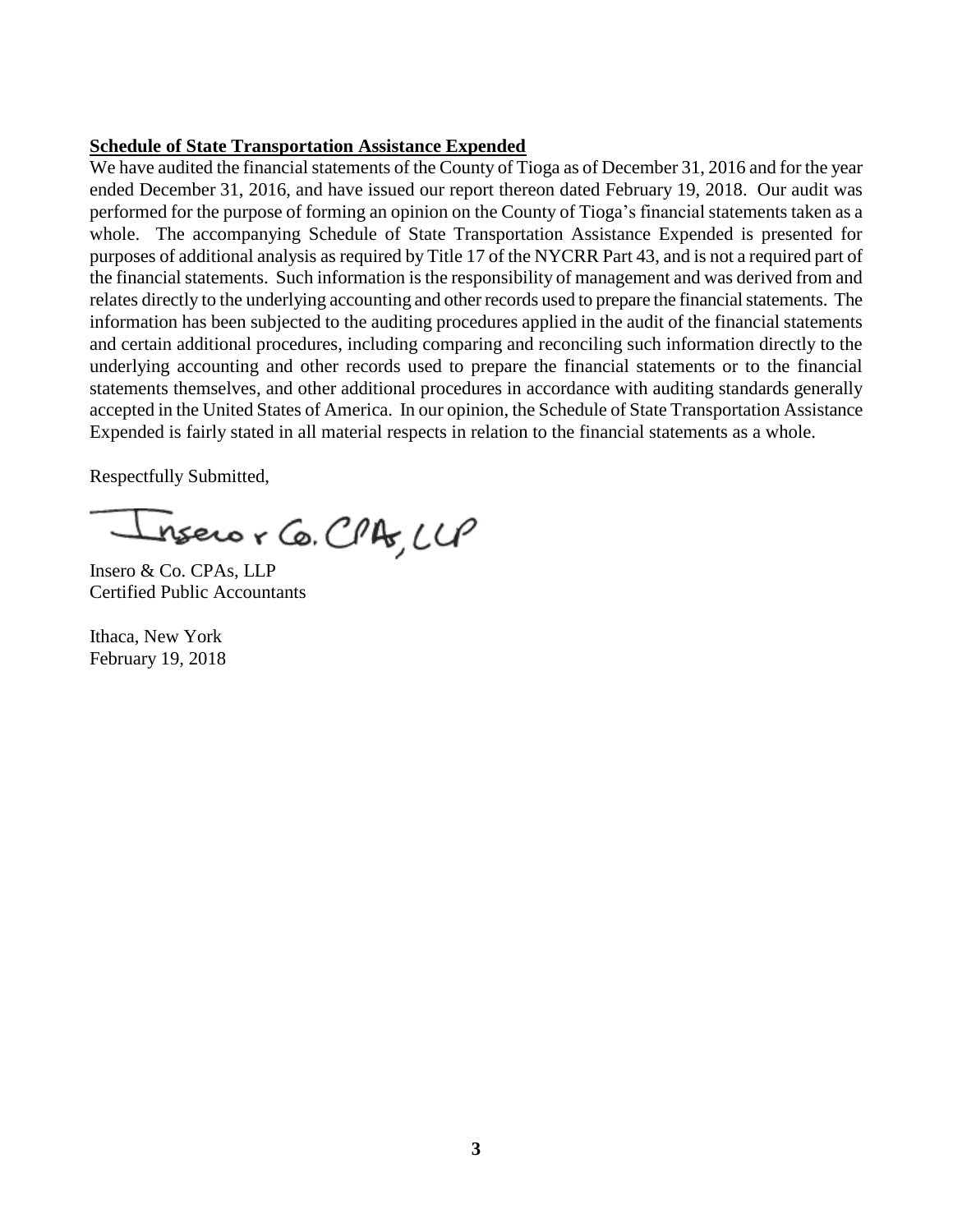### **Schedule of State Transportation Assistance Expended**

We have audited the financial statements of the County of Tioga as of December 31, 2016 and for the year ended December 31, 2016, and have issued our report thereon dated February 19, 2018. Our audit was performed for the purpose of forming an opinion on the County of Tioga's financial statements taken as a whole. The accompanying Schedule of State Transportation Assistance Expended is presented for purposes of additional analysis as required by Title 17 of the NYCRR Part 43, and is not a required part of the financial statements. Such information is the responsibility of management and was derived from and relates directly to the underlying accounting and other records used to prepare the financial statements. The information has been subjected to the auditing procedures applied in the audit of the financial statements and certain additional procedures, including comparing and reconciling such information directly to the underlying accounting and other records used to prepare the financial statements or to the financial statements themselves, and other additional procedures in accordance with auditing standards generally accepted in the United States of America. In our opinion, the Schedule of State Transportation Assistance Expended is fairly stated in all material respects in relation to the financial statements as a whole.

Respectfully Submitted,

nsero r Co. CPA, LLP

Insero & Co. CPAs, LLP Certified Public Accountants

Ithaca, New York February 19, 2018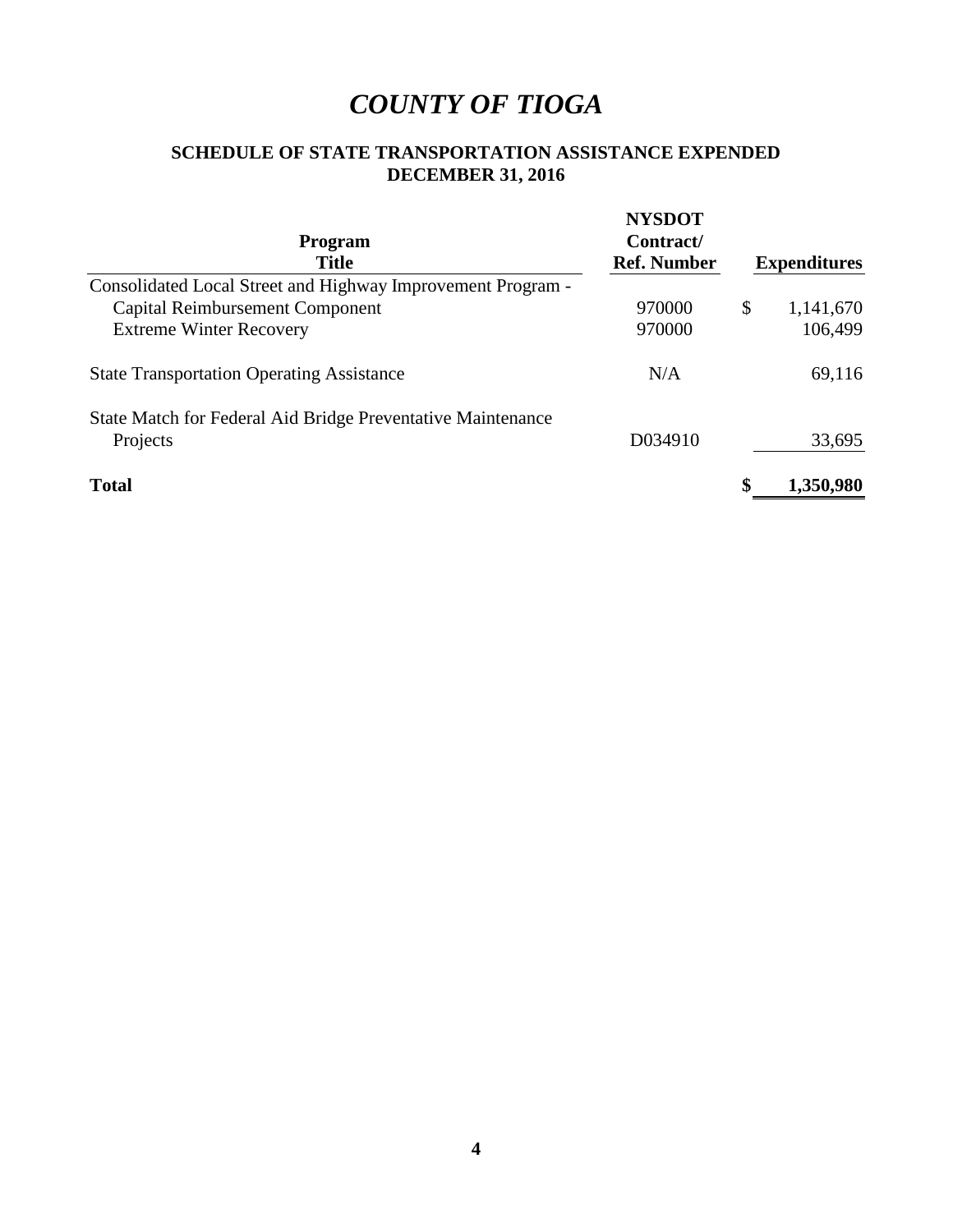### **SCHEDULE OF STATE TRANSPORTATION ASSISTANCE EXPENDED DECEMBER 31, 2016**

| <b>Program</b>                                                                                                                          | <b>NYSDOT</b><br>Contract/ |                            |
|-----------------------------------------------------------------------------------------------------------------------------------------|----------------------------|----------------------------|
| <b>Title</b>                                                                                                                            | <b>Ref. Number</b>         | <b>Expenditures</b>        |
| Consolidated Local Street and Highway Improvement Program -<br><b>Capital Reimbursement Component</b><br><b>Extreme Winter Recovery</b> | 970000<br>970000           | \$<br>1,141,670<br>106,499 |
| <b>State Transportation Operating Assistance</b>                                                                                        | N/A                        | 69,116                     |
| State Match for Federal Aid Bridge Preventative Maintenance<br>Projects                                                                 | D034910                    | 33,695                     |
| <b>Total</b>                                                                                                                            |                            | \$<br>1,350,980            |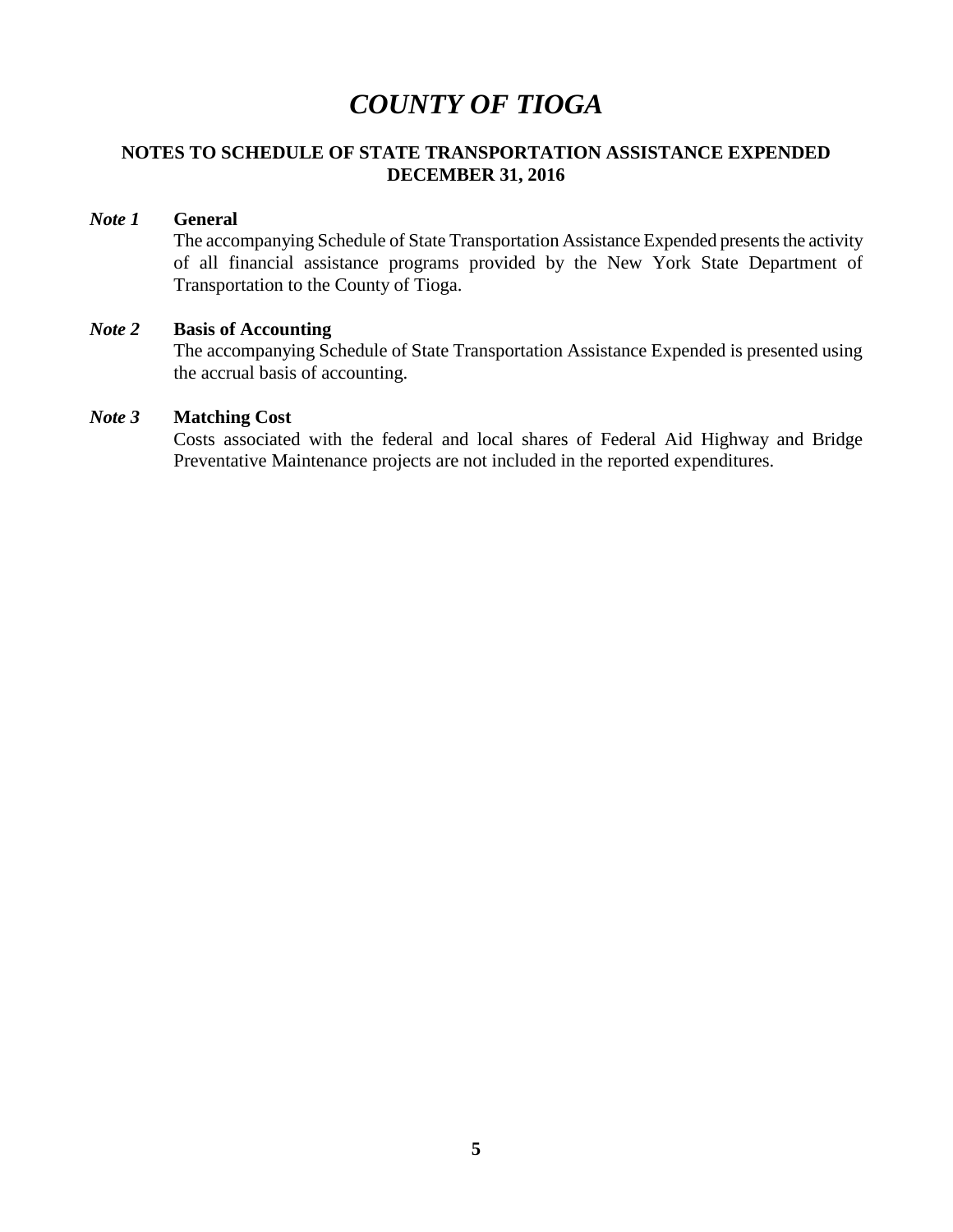### **NOTES TO SCHEDULE OF STATE TRANSPORTATION ASSISTANCE EXPENDED DECEMBER 31, 2016**

#### *Note 1* **General**

The accompanying Schedule of State Transportation Assistance Expended presents the activity of all financial assistance programs provided by the New York State Department of Transportation to the County of Tioga.

#### *Note 2* **Basis of Accounting**

The accompanying Schedule of State Transportation Assistance Expended is presented using the accrual basis of accounting.

#### *Note 3* **Matching Cost**

Costs associated with the federal and local shares of Federal Aid Highway and Bridge Preventative Maintenance projects are not included in the reported expenditures.